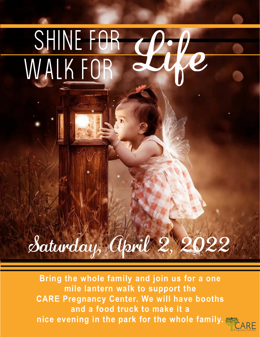# Shine for WALK FOR

# Saturday, April 2, 2022

**Bring the whole family and join us for a one mile lantern walk to support the CARE Pregnancy Center. We will have booths and a food truck to make it a nice evening in the park for the whole family.**

Pregnancy Center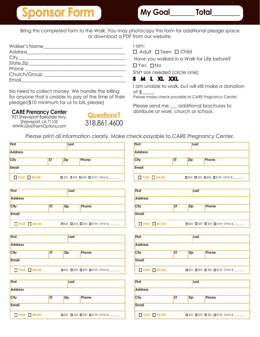# **Sponsor Form The My Goal Explorer** Total

Bring this completed form to the Walk. You may photocopy this form for additional pledge space or download a PDF from our website.

| <b>Walker's Name</b><br><u> 1999 - Andrea Sta</u> |  |
|---------------------------------------------------|--|
|                                                   |  |
|                                                   |  |
|                                                   |  |
|                                                   |  |
| Church/Group                                      |  |
| Email <b>Exercise Email</b>                       |  |
|                                                   |  |

No need to collect money. We handle the billing for anyone that is unable to pay at the time of their pledge!(\$10 minimum for us to bill, please)

#### **CARE Prenancy Center**

921 Shreveport Barksdale Hwy. Shreveport, LA 71105 WWW.GiveThemOptions.com



I am:

 $\Box$  Adult  $\Box$  Teen  $\Box$  Child

Have you walked in a Walk for Life before?

□ Yes □ No

Shirt size needed (circle one):

#### S M L XL XXL

I am unable to walk, but will still make a donation of  $\frac{6}{2}$ 

Please make check payable to CARE Pegnancy Center.

Please send me \_\_\_ additional brochures to distribute at work, church or school.

Please print all information clearly. Make check payable to CARE Pregnancy Center.

| <b>First</b>   |           | Last       |                                                           |
|----------------|-----------|------------|-----------------------------------------------------------|
| <b>Address</b> |           |            |                                                           |
| <b>City</b>    | <b>ST</b> | <b>Zip</b> | <b>Phone</b>                                              |
| <b>Email</b>   |           |            |                                                           |
| PAID Bill ME   |           |            | $\Box$ \$25 $\Box$ \$35 $\Box$ \$50 $\Box$ \$100 Other \$ |

| <b>First</b>   |           | Last       |                                                           |
|----------------|-----------|------------|-----------------------------------------------------------|
| <b>Address</b> |           |            |                                                           |
| <b>City</b>    | <b>ST</b> | <b>Zip</b> | Phone                                                     |
| <b>Email</b>   |           |            |                                                           |
| PAID Bill ME   |           |            | $\Box$ \$25 $\Box$ \$35 $\Box$ \$50 $\Box$ \$100 Other \$ |

| <b>First</b>        |           | Last       |                                                           |
|---------------------|-----------|------------|-----------------------------------------------------------|
| <b>Address</b>      |           |            |                                                           |
| City                | <b>ST</b> | <b>Zip</b> | Phone                                                     |
| <b>Email</b>        |           |            |                                                           |
| <b>PAID</b> Bill ME |           |            | $\Box$ \$25 $\Box$ \$35 $\Box$ \$50 $\Box$ \$100 Other \$ |

| <b>First</b>   |           | Last       |                                                           |
|----------------|-----------|------------|-----------------------------------------------------------|
| <b>Address</b> |           |            |                                                           |
| <b>City</b>    | <b>ST</b> | <b>Zip</b> | Phone                                                     |
| <b>Email</b>   |           |            |                                                           |
| PAID Bill ME   |           |            | $\Box$ \$25 $\Box$ \$35 $\Box$ \$50 $\Box$ \$100 Other \$ |

| <b>First</b>   |           | Last       |                                                           |  |
|----------------|-----------|------------|-----------------------------------------------------------|--|
| <b>Address</b> |           |            |                                                           |  |
| <b>City</b>    | <b>ST</b> | <b>Zip</b> | Phone                                                     |  |
| <b>Email</b>   |           |            |                                                           |  |
| PAID Bill ME   |           |            | $\Box$ \$25 $\Box$ \$35 $\Box$ \$50 $\Box$ \$100 Other \$ |  |

| <b>First</b>   |           | Last       |                                                           |
|----------------|-----------|------------|-----------------------------------------------------------|
| <b>Address</b> |           |            |                                                           |
| City           | <b>ST</b> | <b>Zip</b> | <b>Phone</b>                                              |
| <b>Email</b>   |           |            |                                                           |
| PAID Bill ME   |           |            | $\Box$ \$25 $\Box$ \$35 $\Box$ \$50 $\Box$ \$100 Other \$ |

| <b>First</b>               |           | Last       |                                                           |
|----------------------------|-----------|------------|-----------------------------------------------------------|
| <b>Address</b>             |           |            |                                                           |
| <b>City</b>                | <b>ST</b> | <b>Zip</b> | Phone                                                     |
| <b>Email</b>               |           |            |                                                           |
| $\Box$ PAID $\Box$ Bill ME |           |            | $\Box$ \$25 $\Box$ \$35 $\Box$ \$50 $\Box$ \$100 Other \$ |

| <b>First</b>   |           | Last       |                                                           |
|----------------|-----------|------------|-----------------------------------------------------------|
| <b>Address</b> |           |            |                                                           |
| <b>City</b>    | <b>ST</b> | <b>Zip</b> | Phone                                                     |
| <b>Email</b>   |           |            |                                                           |
| PAID Bill ME   |           |            | $\Box$ \$25 $\Box$ \$35 $\Box$ \$50 $\Box$ \$100 Other \$ |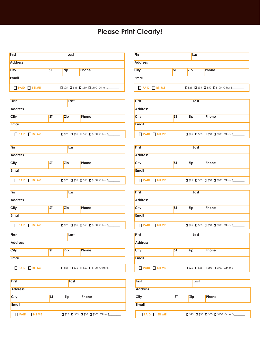#### **Please Print Clearly!**

| <b>First</b>        |           | Last |                                                           |
|---------------------|-----------|------|-----------------------------------------------------------|
| <b>Address</b>      |           |      |                                                           |
| <b>City</b>         | <b>ST</b> | Zip  | Phone                                                     |
| Email               |           |      |                                                           |
| <b>PAID</b> Bill ME |           |      | $\Box$ \$25 $\Box$ \$35 $\Box$ \$50 $\Box$ \$100 Other \$ |

| <b>First</b>               |           | Last       |                                                           |
|----------------------------|-----------|------------|-----------------------------------------------------------|
| <b>Address</b>             |           |            |                                                           |
| <b>City</b>                | <b>ST</b> | <b>Zip</b> | Phone                                                     |
| <b>Email</b>               |           |            |                                                           |
| <b>PAID</b> $\Box$ Bill ME |           |            | $\Box$ \$25 $\Box$ \$35 $\Box$ \$50 $\Box$ \$100 Other \$ |

| <b>First</b>   |           | Last       |                                                           |
|----------------|-----------|------------|-----------------------------------------------------------|
| <b>Address</b> |           |            |                                                           |
| <b>City</b>    | <b>ST</b> | <b>Zip</b> | Phone                                                     |
| Email          |           |            |                                                           |
| PAID Bill ME   |           |            | $\Box$ \$25 $\Box$ \$35 $\Box$ \$50 $\Box$ \$100 Other \$ |

| <b>First</b>   |           | Last       |                                                           |
|----------------|-----------|------------|-----------------------------------------------------------|
| <b>Address</b> |           |            |                                                           |
| <b>City</b>    | <b>ST</b> | <b>Zip</b> | Phone                                                     |
| <b>Email</b>   |           |            |                                                           |
| PAID Bill ME   |           |            | $\Box$ \$25 $\Box$ \$35 $\Box$ \$50 $\Box$ \$100 Other \$ |

| <b>First</b>   |           | Last       |                                                           |  |
|----------------|-----------|------------|-----------------------------------------------------------|--|
| <b>Address</b> |           |            |                                                           |  |
| <b>City</b>    | <b>ST</b> | <b>Zip</b> | Phone                                                     |  |
| <b>Email</b>   |           |            |                                                           |  |
| PAID Bill ME   |           |            | $\Box$ \$25 $\Box$ \$35 $\Box$ \$50 $\Box$ \$100 Other \$ |  |

| <b>First</b>        |           | Last       |                                                           |
|---------------------|-----------|------------|-----------------------------------------------------------|
| <b>Address</b>      |           |            |                                                           |
| <b>City</b>         | <b>ST</b> | <b>Zip</b> | Phone                                                     |
| <b>Email</b>        |           |            |                                                           |
| <b>PAID</b> Bill ME |           |            | $\Box$ \$25 $\Box$ \$35 $\Box$ \$50 $\Box$ \$100 Other \$ |

| <b>First</b>   |           | Last       |                                                           |
|----------------|-----------|------------|-----------------------------------------------------------|
| <b>Address</b> |           |            |                                                           |
| <b>City</b>    | <b>ST</b> | <b>Zip</b> | Phone                                                     |
| <b>Email</b>   |           |            |                                                           |
| PAID Bill ME   |           |            | $\Box$ \$25 $\Box$ \$35 $\Box$ \$50 $\Box$ \$100 Other \$ |

| <b>First</b>               |           | Last       |                                                           |
|----------------------------|-----------|------------|-----------------------------------------------------------|
| <b>Address</b>             |           |            |                                                           |
| City                       | <b>ST</b> | <b>Zip</b> | Phone                                                     |
| <b>Email</b>               |           |            |                                                           |
| $\Box$ PAID $\Box$ Bill ME |           |            | $\Box$ \$25 $\Box$ \$35 $\Box$ \$50 $\Box$ \$100 Other \$ |

| <b>First</b>   |           | Last       |                                                           |  |
|----------------|-----------|------------|-----------------------------------------------------------|--|
| <b>Address</b> |           |            |                                                           |  |
| City           | <b>ST</b> | <b>Zip</b> | Phone                                                     |  |
| <b>Email</b>   |           |            |                                                           |  |
| PAID Bill ME   |           |            | $\Box$ \$25 $\Box$ \$35 $\Box$ \$50 $\Box$ \$100 Other \$ |  |

| <b>First</b>               |           | Last       |                                                           |  |
|----------------------------|-----------|------------|-----------------------------------------------------------|--|
| <b>Address</b>             |           |            |                                                           |  |
| <b>City</b>                | <b>ST</b> | <b>Zip</b> | Phone                                                     |  |
| <b>Email</b>               |           |            |                                                           |  |
| $\Box$ PAID $\Box$ Bill ME |           |            | $\Box$ \$25 $\Box$ \$35 $\Box$ \$50 $\Box$ \$100 Other \$ |  |

| <b>First</b>   |           | Last       |                                                           |
|----------------|-----------|------------|-----------------------------------------------------------|
| <b>Address</b> |           |            |                                                           |
| City           | <b>ST</b> | <b>Zip</b> | Phone                                                     |
| <b>Email</b>   |           |            |                                                           |
| PAID Bill ME   |           |            | $\Box$ \$25 $\Box$ \$35 $\Box$ \$50 $\Box$ \$100 Other \$ |

| <b>First</b>               |           | Last       |                                                           |
|----------------------------|-----------|------------|-----------------------------------------------------------|
| <b>Address</b>             |           |            |                                                           |
| City                       | <b>ST</b> | <b>Zip</b> | Phone                                                     |
| <b>Email</b>               |           |            |                                                           |
| $\Box$ PAID $\Box$ Bill ME |           |            | $\Box$ \$25 $\Box$ \$35 $\Box$ \$50 $\Box$ \$100 Other \$ |